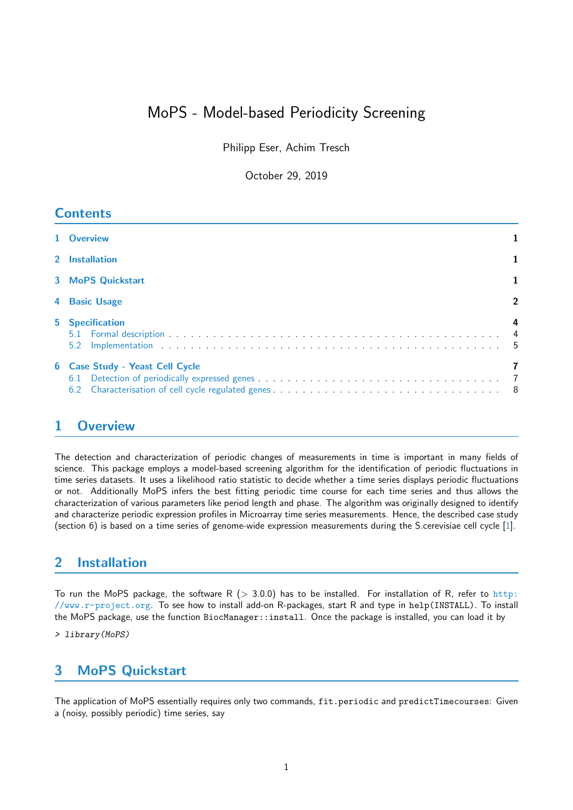# MoPS - Model-based Periodicity Screening

Philipp Eser, Achim Tresch

October 29, 2019

### **Contents**

| 1 Overview                      |              |
|---------------------------------|--------------|
| 2 Installation                  |              |
| <b>3 MoPS Quickstart</b>        |              |
| 4 Basic Usage                   | $\mathbf{2}$ |
| <b>5</b> Specification          |              |
| 6 Case Study - Yeast Cell Cycle |              |

## <span id="page-0-0"></span>1 Overview

The detection and characterization of periodic changes of measurements in time is important in many fields of science. This package employs a model-based screening algorithm for the identification of periodic fluctuations in time series datasets. It uses a likelihood ratio statistic to decide whether a time series displays periodic fluctuations or not. Additionally MoPS infers the best fitting periodic time course for each time series and thus allows the characterization of various parameters like period length and phase. The algorithm was originally designed to identify and characterize periodic expression profiles in Microarray time series measurements. Hence, the described case study (section 6) is based on a time series of genome-wide expression measurements during the S.cerevisiae cell cycle [\[1\]](#page-8-0).

### <span id="page-0-1"></span>2 Installation

To run the MoPS package, the software R ( $> 3.0.0$ ) has to be installed. For installation of R, refer to [http:](http://www.r-project.org) [//www.r-project.org](http://www.r-project.org). To see how to install add-on R-packages, start R and type in help(INSTALL). To install the MoPS package, use the function BiocManager::install. Once the package is installed, you can load it by

> library(MoPS)

## <span id="page-0-2"></span>3 MoPS Quickstart

The application of MoPS essentially requires only two commands, fit.periodic and predictTimecourses: Given a (noisy, possibly periodic) time series, say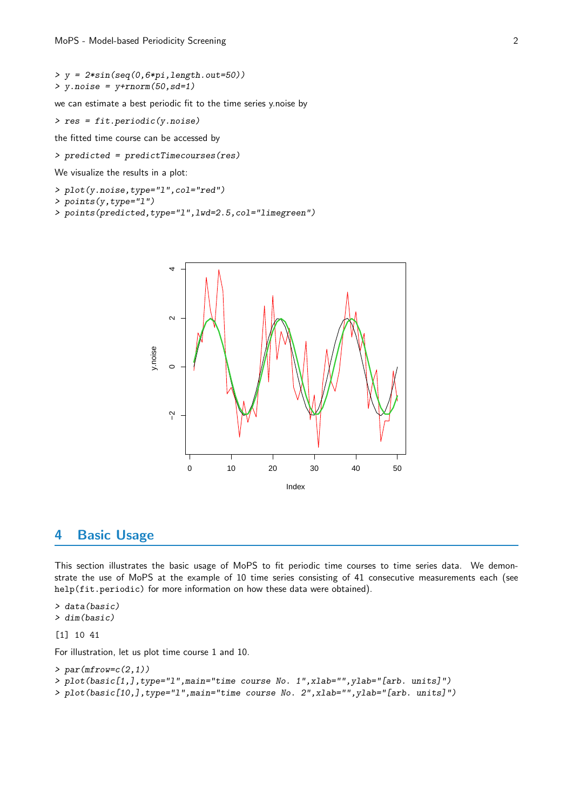```
> y = 2 * sin (seq (0, 6 * pi, length.out = 50))> y.noise = y+rnorm(50,sd=1)
```
we can estimate a best periodic fit to the time series y.noise by

> res = fit.periodic(y.noise)

the fitted time course can be accessed by

> predicted = predictTimecourses(res)

We visualize the results in a plot:

- > plot(y.noise,type="l",col="red")
- > points(y,type="l")
- > points(predicted,type="l",lwd=2.5,col="limegreen")



### <span id="page-1-0"></span>4 Basic Usage

This section illustrates the basic usage of MoPS to fit periodic time courses to time series data. We demonstrate the use of MoPS at the example of 10 time series consisting of 41 consecutive measurements each (see help(fit.periodic) for more information on how these data were obtained).

> data(basic) > dim(basic)

#### [1] 10 41

For illustration, let us plot time course 1 and 10.

```
> par(mfrow=c(2,1))
> plot(basic[1,],type="l",main="time course No. 1",xlab="",ylab="[arb. units]")
> plot(basic[10,],type="l",main="time course No. 2",xlab="",ylab="[arb. units]")
```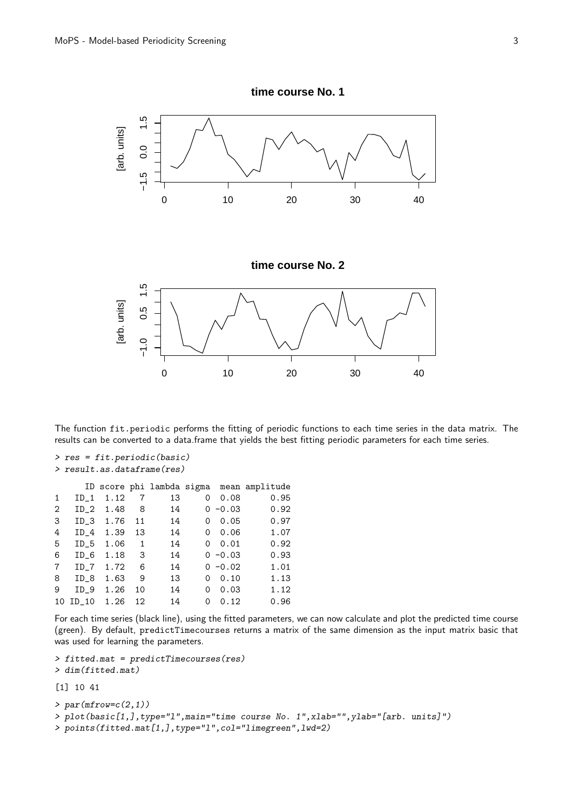

The function fit.periodic performs the fitting of periodic functions to each time series in the data matrix. The results can be converted to a data.frame that yields the best fitting periodic parameters for each time series.

```
> res = fit.periodic(basic)
> result.as.dataframe(res)
```

| $ID_1$          | 1.12 | 7    | 13 | 0 | 0.08 | 0.95                                                                               |
|-----------------|------|------|----|---|------|------------------------------------------------------------------------------------|
| ID <sub>2</sub> | 1.48 | 8    | 14 |   |      | 0.92                                                                               |
|                 | 1.76 | 11   | 14 | 0 | 0.05 | 0.97                                                                               |
| $ID_4$          | 1.39 | 13   | 14 | 0 | 0.06 | 1.07                                                                               |
| $ID_5$          | 1.06 | 1    | 14 | 0 | 0.01 | 0.92                                                                               |
| ID 6            | 1.18 | 3    | 14 |   |      | 0.93                                                                               |
| $ID_7$          | 1.72 | 6    | 14 |   |      | 1.01                                                                               |
| ID <sub>8</sub> | 1.63 | 9    | 13 | 0 | 0.10 | 1.13                                                                               |
| $ID_9$          | 1.26 | 10   | 14 | 0 | 0.03 | 1.12                                                                               |
| $10$ ID_10      | 1.26 | 12   | 14 | 0 | 0.12 | 0.96                                                                               |
|                 |      | ID 3 |    |   |      | ID score phi lambda sigma mean amplitude<br>$0 - 0.03$<br>$0 - 0.03$<br>$0 - 0.02$ |

For each time series (black line), using the fitted parameters, we can now calculate and plot the predicted time course (green). By default, predictTimecourses returns a matrix of the same dimension as the input matrix basic that was used for learning the parameters.

```
> fitted.mat = predictTimecourses(res)
> dim(fitted.mat)
```

```
[1] 10 41
```

```
> par(mfrow=c(2,1))
```

```
> plot(basic[1,],type="l",main="time course No. 1",xlab="",ylab="[arb. units]")
```
> points(fitted.mat[1,],type="l",col="limegreen",lwd=2)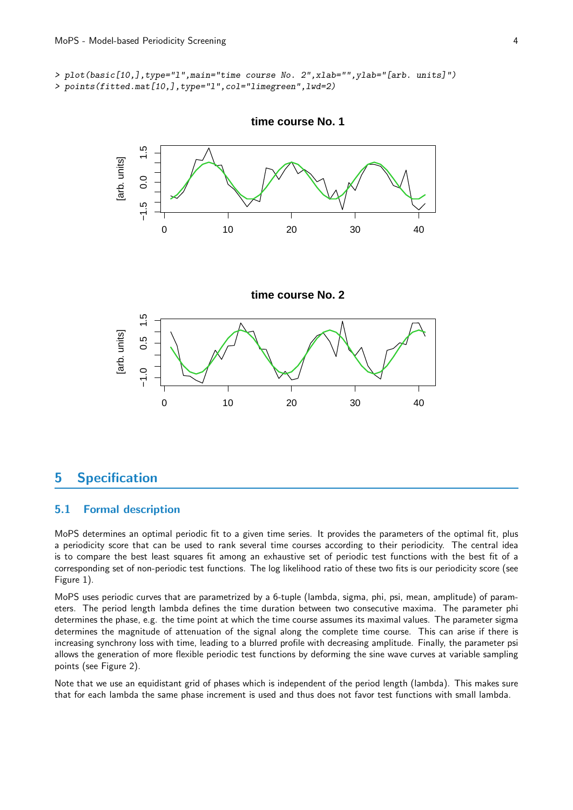> plot(basic[10,],type="l",main="time course No. 2",xlab="",ylab="[arb. units]") > points(fitted.mat[10,],type="l",col="limegreen",lwd=2)



**time course No. 1**

### <span id="page-3-0"></span>5 Specification

#### <span id="page-3-1"></span>5.1 Formal description

MoPS determines an optimal periodic fit to a given time series. It provides the parameters of the optimal fit, plus a periodicity score that can be used to rank several time courses according to their periodicity. The central idea is to compare the best least squares fit among an exhaustive set of periodic test functions with the best fit of a corresponding set of non-periodic test functions. The log likelihood ratio of these two fits is our periodicity score (see Figure 1).

MoPS uses periodic curves that are parametrized by a 6-tuple (lambda, sigma, phi, psi, mean, amplitude) of parameters. The period length lambda defines the time duration between two consecutive maxima. The parameter phi determines the phase, e.g. the time point at which the time course assumes its maximal values. The parameter sigma determines the magnitude of attenuation of the signal along the complete time course. This can arise if there is increasing synchrony loss with time, leading to a blurred profile with decreasing amplitude. Finally, the parameter psi allows the generation of more flexible periodic test functions by deforming the sine wave curves at variable sampling points (see Figure 2).

Note that we use an equidistant grid of phases which is independent of the period length (lambda). This makes sure that for each lambda the same phase increment is used and thus does not favor test functions with small lambda.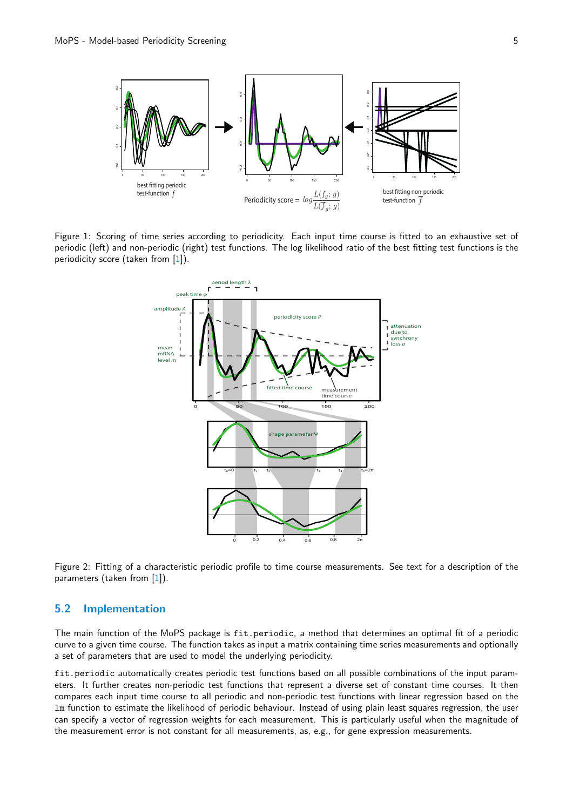

Figure 1: Scoring of time series according to periodicity. Each input time course is fitted to an exhaustive set of periodic (left) and non-periodic (right) test functions. The log likelihood ratio of the best fitting test functions is the periodicity score (taken from [\[1\]](#page-8-0)).



Figure 2: Fitting of a characteristic periodic profile to time course measurements. See text for a description of the parameters (taken from [\[1\]](#page-8-0)).

#### <span id="page-4-0"></span>5.2 Implementation

The main function of the MoPS package is fit.periodic, a method that determines an optimal fit of a periodic curve to a given time course. The function takes as input a matrix containing time series measurements and optionally a set of parameters that are used to model the underlying periodicity.

fit.periodic automatically creates periodic test functions based on all possible combinations of the input parameters. It further creates non-periodic test functions that represent a diverse set of constant time courses. It then compares each input time course to all periodic and non-periodic test functions with linear regression based on the lm function to estimate the likelihood of periodic behaviour. Instead of using plain least squares regression, the user can specify a vector of regression weights for each measurement. This is particularly useful when the magnitude of the measurement error is not constant for all measurements, as, e.g., for gene expression measurements.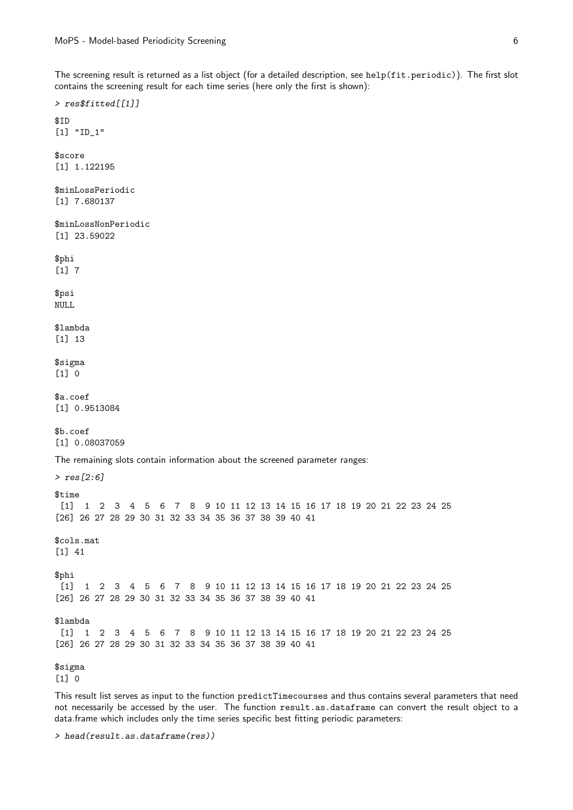The screening result is returned as a list object (for a detailed description, see help(fit.periodic)). The first slot contains the screening result for each time series (here only the first is shown):

This result list serves as input to the function predictTimecourses and thus contains several parameters that need not necessarily be accessed by the user. The function result.as.dataframe can convert the result object to a data.frame which includes only the time series specific best fitting periodic parameters:

> head(result.as.dataframe(res))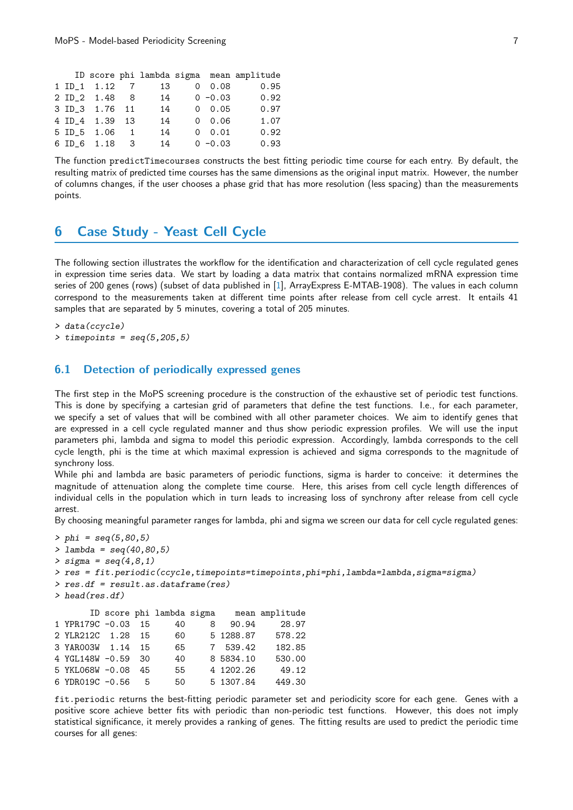|  |                           |    |                | ID score phi lambda sigma mean amplitude |
|--|---------------------------|----|----------------|------------------------------------------|
|  | $1 ID_1 1.12 7$           | 13 | 0.08           | 0.95                                     |
|  | 2 ID 2 1.48 8             | 14 | $0 - 0.03$     | 0.92                                     |
|  | 3 ID_3 1.76 11            | 14 | $0 \quad 0.05$ | 0.97                                     |
|  | 4 ID <sub>4</sub> 1.39 13 | 14 | 0.06           | 1.07                                     |
|  | 5 ID_5 1.06 1             | 14 | $0 \quad 0.01$ | 0.92                                     |
|  | 6 ID 6 1.18 3             | 14 | $0 - 0.03$     | 0.93                                     |
|  |                           |    |                |                                          |

The function predictTimecourses constructs the best fitting periodic time course for each entry. By default, the resulting matrix of predicted time courses has the same dimensions as the original input matrix. However, the number of columns changes, if the user chooses a phase grid that has more resolution (less spacing) than the measurements points.

### <span id="page-6-0"></span>6 Case Study - Yeast Cell Cycle

The following section illustrates the workflow for the identification and characterization of cell cycle regulated genes in expression time series data. We start by loading a data matrix that contains normalized mRNA expression time series of 200 genes (rows) (subset of data published in [\[1\]](#page-8-0), ArrayExpress E-MTAB-1908). The values in each column correspond to the measurements taken at different time points after release from cell cycle arrest. It entails 41 samples that are separated by 5 minutes, covering a total of 205 minutes.

> data(ccycle)

 $\geq$  timepoints = seq(5,205,5)

#### <span id="page-6-1"></span>6.1 Detection of periodically expressed genes

The first step in the MoPS screening procedure is the construction of the exhaustive set of periodic test functions. This is done by specifying a cartesian grid of parameters that define the test functions. I.e., for each parameter, we specify a set of values that will be combined with all other parameter choices. We aim to identify genes that are expressed in a cell cycle regulated manner and thus show periodic expression profiles. We will use the input parameters phi, lambda and sigma to model this periodic expression. Accordingly, lambda corresponds to the cell cycle length, phi is the time at which maximal expression is achieved and sigma corresponds to the magnitude of synchrony loss.

While phi and lambda are basic parameters of periodic functions, sigma is harder to conceive: it determines the magnitude of attenuation along the complete time course. Here, this arises from cell cycle length differences of individual cells in the population which in turn leads to increasing loss of synchrony after release from cell cycle arrest.

By choosing meaningful parameter ranges for lambda, phi and sigma we screen our data for cell cycle regulated genes:

```
> phi = seq(5, 80, 5)> lambda = seq(40,80,5)
> sigma = seq(4,8,1)
> res = fit.periodic(ccycle,timepoints=timepoints,phi=phi,lambda=lambda,sigma=sigma)
> res.df = result.as.dataframe(res)
> head(res.df)
      ID score phi lambda sigma mean amplitude
1 YPR179C -0.03 15 40 8 90.94 28.97
2 YLR212C 1.28 15 60 5 1288.87 578.22
3 YAR003W 1.14 15 65 7 539.42 182.85
4 YGL148W -0.59 30 40 8 5834.10 530.00
5 YKL068W -0.08 45 55 4 1202.26 49.12
6 YDR019C -0.56 5 50 5 1307.84
```
fit.periodic returns the best-fitting periodic parameter set and periodicity score for each gene. Genes with a positive score achieve better fits with periodic than non-periodic test functions. However, this does not imply statistical significance, it merely provides a ranking of genes. The fitting results are used to predict the periodic time courses for all genes: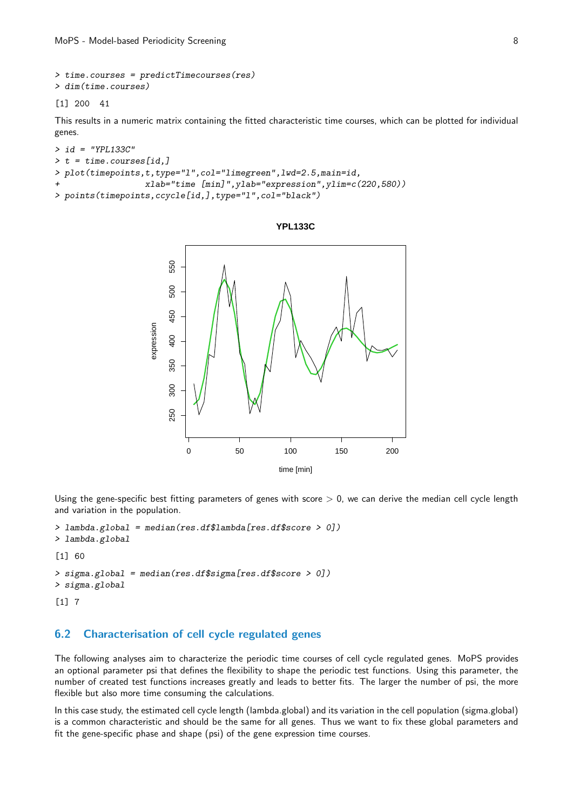```
> time.courses = predictTimecourses(res)
> dim(time.courses)
```
[1] 200 41

This results in a numeric matrix containing the fitted characteristic time courses, which can be plotted for individual genes.

```
> id = "YPL133C"> t = time.courses[id,]> plot(timepoints,t,type="l",col="limegreen",lwd=2.5,main=id,
+ xlab="time [min]",ylab="expression",ylim=c(220,580))
> points(timepoints,ccycle[id,],type="l",col="black")
```


Using the gene-specific best fitting parameters of genes with score  $> 0$ , we can derive the median cell cycle length and variation in the population.

```
> lambda.global = median(res.df$lambda[res.df$score > 0])
> lambda.global
```
[1] 60

```
> sigma.global = median(res.df$sigma[res.df$score > 0])
> sigma.global
[1] 7
```
#### <span id="page-7-0"></span>6.2 Characterisation of cell cycle regulated genes

The following analyses aim to characterize the periodic time courses of cell cycle regulated genes. MoPS provides an optional parameter psi that defines the flexibility to shape the periodic test functions. Using this parameter, the number of created test functions increases greatly and leads to better fits. The larger the number of psi, the more flexible but also more time consuming the calculations.

In this case study, the estimated cell cycle length (lambda.global) and its variation in the cell population (sigma.global) is a common characteristic and should be the same for all genes. Thus we want to fix these global parameters and fit the gene-specific phase and shape (psi) of the gene expression time courses.